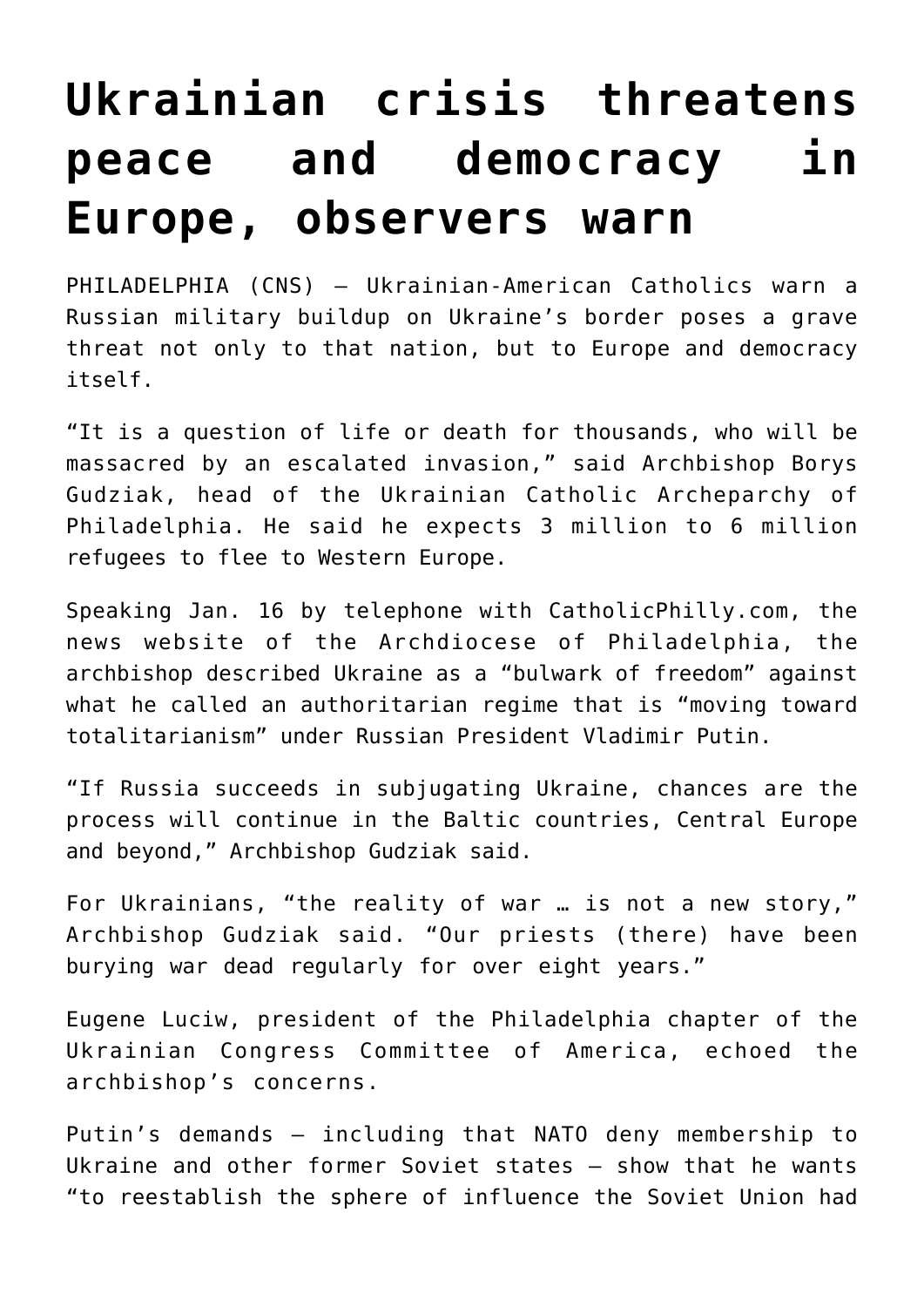## **[Ukrainian crisis threatens](https://www.osvnews.com/2022/01/20/ukrainian-crisis-threatens-peace-and-democracy-in-europe-observers-warn/) [peace and democracy in](https://www.osvnews.com/2022/01/20/ukrainian-crisis-threatens-peace-and-democracy-in-europe-observers-warn/) [Europe, observers warn](https://www.osvnews.com/2022/01/20/ukrainian-crisis-threatens-peace-and-democracy-in-europe-observers-warn/)**

PHILADELPHIA (CNS) — Ukrainian-American Catholics warn a Russian military buildup on Ukraine's border poses a grave threat not only to that nation, but to Europe and democracy itself.

"It is a question of life or death for thousands, who will be massacred by an escalated invasion," said Archbishop Borys Gudziak, head of the Ukrainian Catholic Archeparchy of Philadelphia. He said he expects 3 million to 6 million refugees to flee to Western Europe.

Speaking Jan. 16 by telephone with CatholicPhilly.com, the news website of the Archdiocese of Philadelphia, the archbishop described Ukraine as a "bulwark of freedom" against what he called an authoritarian regime that is "moving toward totalitarianism" under Russian President Vladimir Putin.

"If Russia succeeds in subjugating Ukraine, chances are the process will continue in the Baltic countries, Central Europe and beyond," Archbishop Gudziak said.

For Ukrainians, "the reality of war … is not a new story," Archbishop Gudziak said. "Our priests (there) have been burying war dead regularly for over eight years."

Eugene Luciw, president of the Philadelphia chapter of the Ukrainian Congress Committee of America, echoed the archbishop's concerns.

Putin's demands — including that NATO deny membership to Ukraine and other former Soviet states — show that he wants "to reestablish the sphere of influence the Soviet Union had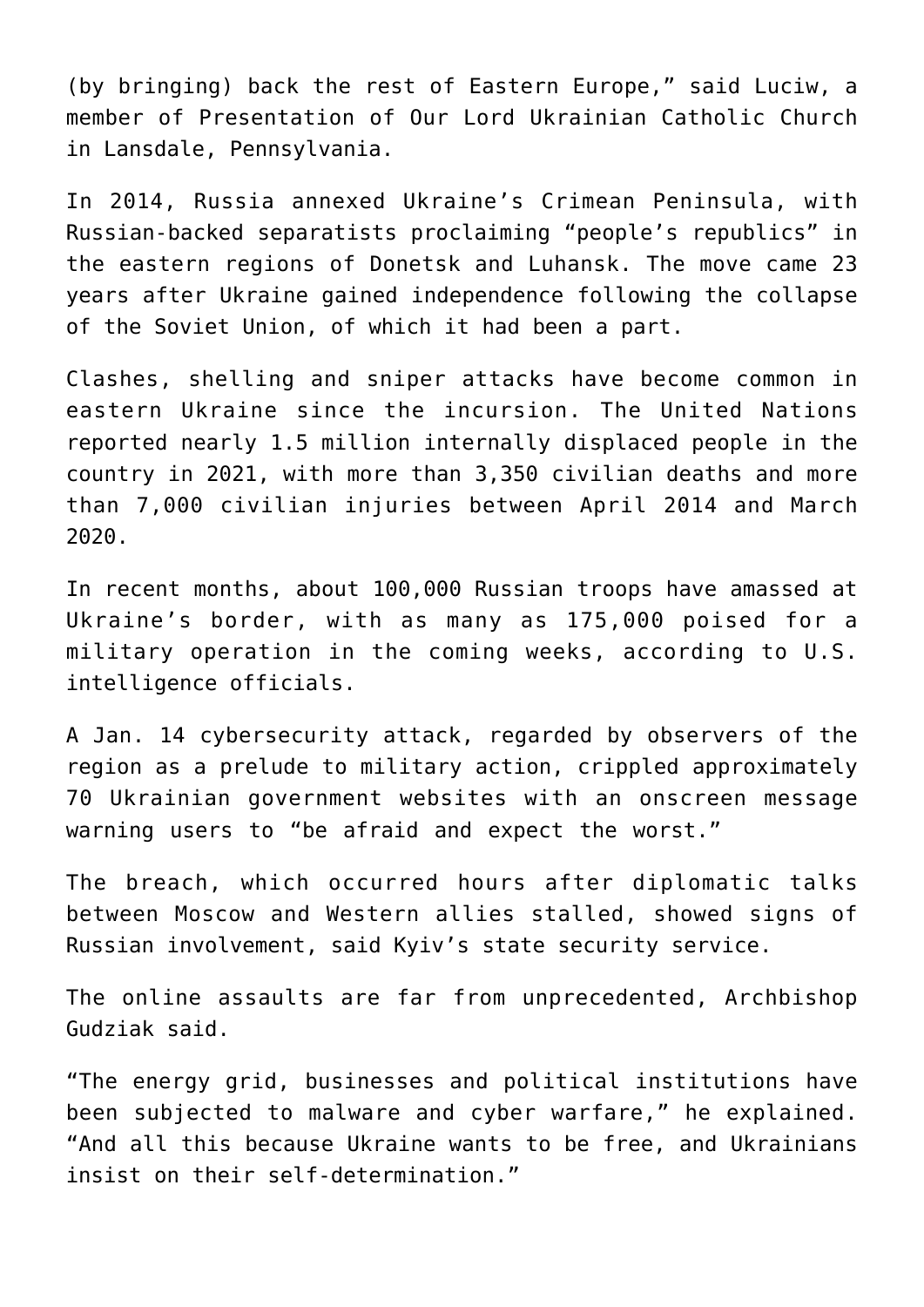(by bringing) back the rest of Eastern Europe," said Luciw, a member of Presentation of Our Lord Ukrainian Catholic Church in Lansdale, Pennsylvania.

In 2014, Russia annexed Ukraine's Crimean Peninsula, with Russian-backed separatists proclaiming "people's republics" in the eastern regions of Donetsk and Luhansk. The move came 23 years after Ukraine gained independence following the collapse of the Soviet Union, of which it had been a part.

Clashes, shelling and sniper attacks have become common in eastern Ukraine since the incursion. The United Nations reported nearly 1.5 million internally displaced people in the country in 2021, with more than 3,350 civilian deaths and more than 7,000 civilian injuries between April 2014 and March 2020.

In recent months, about 100,000 Russian troops have amassed at Ukraine's border, with as many as 175,000 poised for a military operation in the coming weeks, according to U.S. intelligence officials.

A Jan. 14 cybersecurity attack, regarded by observers of the region as a prelude to military action, crippled approximately 70 Ukrainian government websites with an onscreen message warning users to "be afraid and expect the worst."

The breach, which occurred hours after diplomatic talks between Moscow and Western allies stalled, showed signs of Russian involvement, said Kyiv's state security service.

The online assaults are far from unprecedented, Archbishop Gudziak said.

"The energy grid, businesses and political institutions have been subjected to malware and cyber warfare," he explained. "And all this because Ukraine wants to be free, and Ukrainians insist on their self-determination."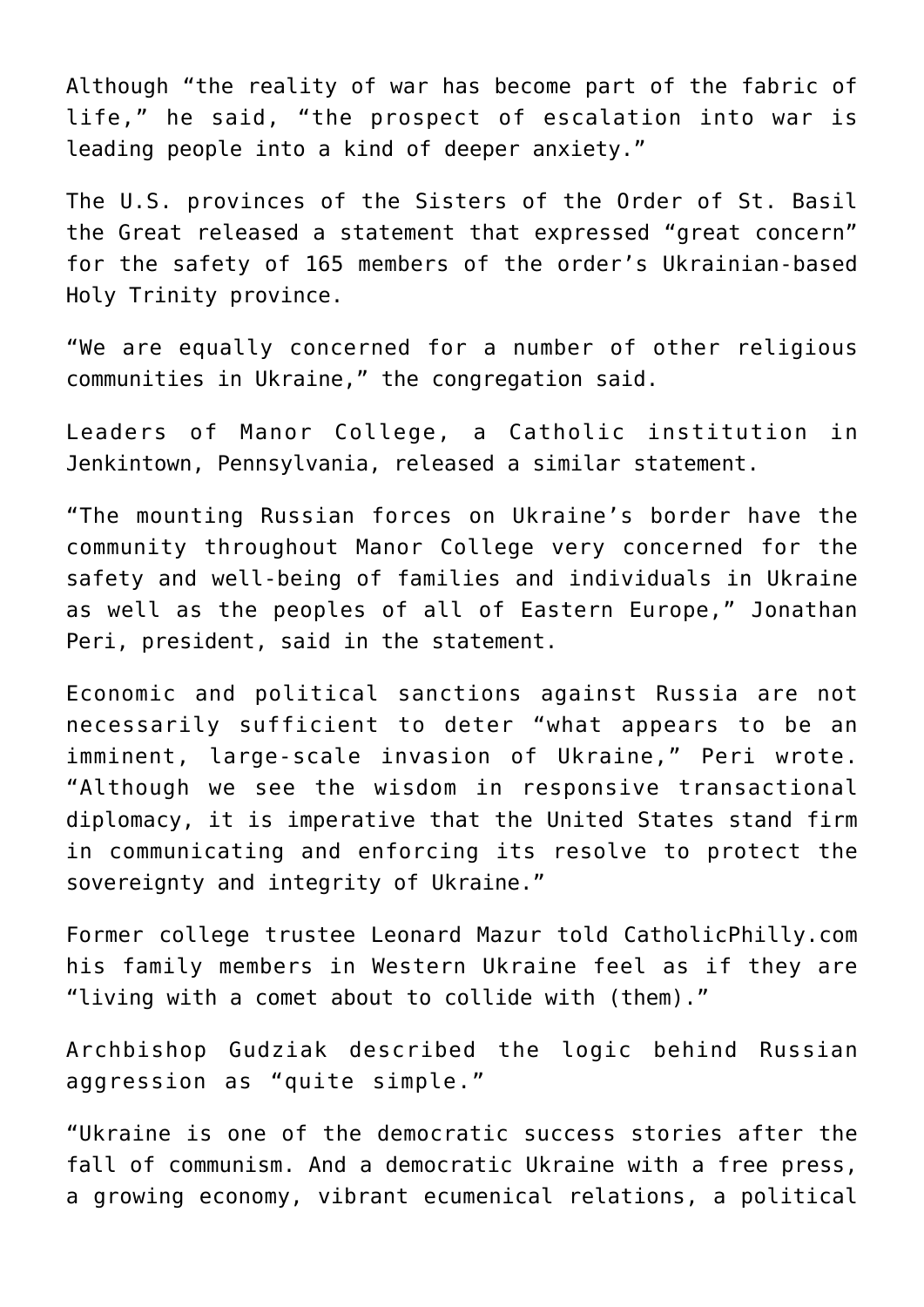Although "the reality of war has become part of the fabric of life," he said, "the prospect of escalation into war is leading people into a kind of deeper anxiety."

The U.S. provinces of the Sisters of the Order of St. Basil the Great released a statement that expressed "great concern" for the safety of 165 members of the order's Ukrainian-based Holy Trinity province.

"We are equally concerned for a number of other religious communities in Ukraine," the congregation said.

Leaders of Manor College, a Catholic institution in Jenkintown, Pennsylvania, released a similar statement.

"The mounting Russian forces on Ukraine's border have the community throughout Manor College very concerned for the safety and well-being of families and individuals in Ukraine as well as the peoples of all of Eastern Europe," Jonathan Peri, president, said in the statement.

Economic and political sanctions against Russia are not necessarily sufficient to deter "what appears to be an imminent, large-scale invasion of Ukraine," Peri wrote. "Although we see the wisdom in responsive transactional diplomacy, it is imperative that the United States stand firm in communicating and enforcing its resolve to protect the sovereignty and integrity of Ukraine."

Former college trustee Leonard Mazur told CatholicPhilly.com his family members in Western Ukraine feel as if they are "living with a comet about to collide with (them)."

Archbishop Gudziak described the logic behind Russian aggression as "quite simple."

"Ukraine is one of the democratic success stories after the fall of communism. And a democratic Ukraine with a free press, a growing economy, vibrant ecumenical relations, a political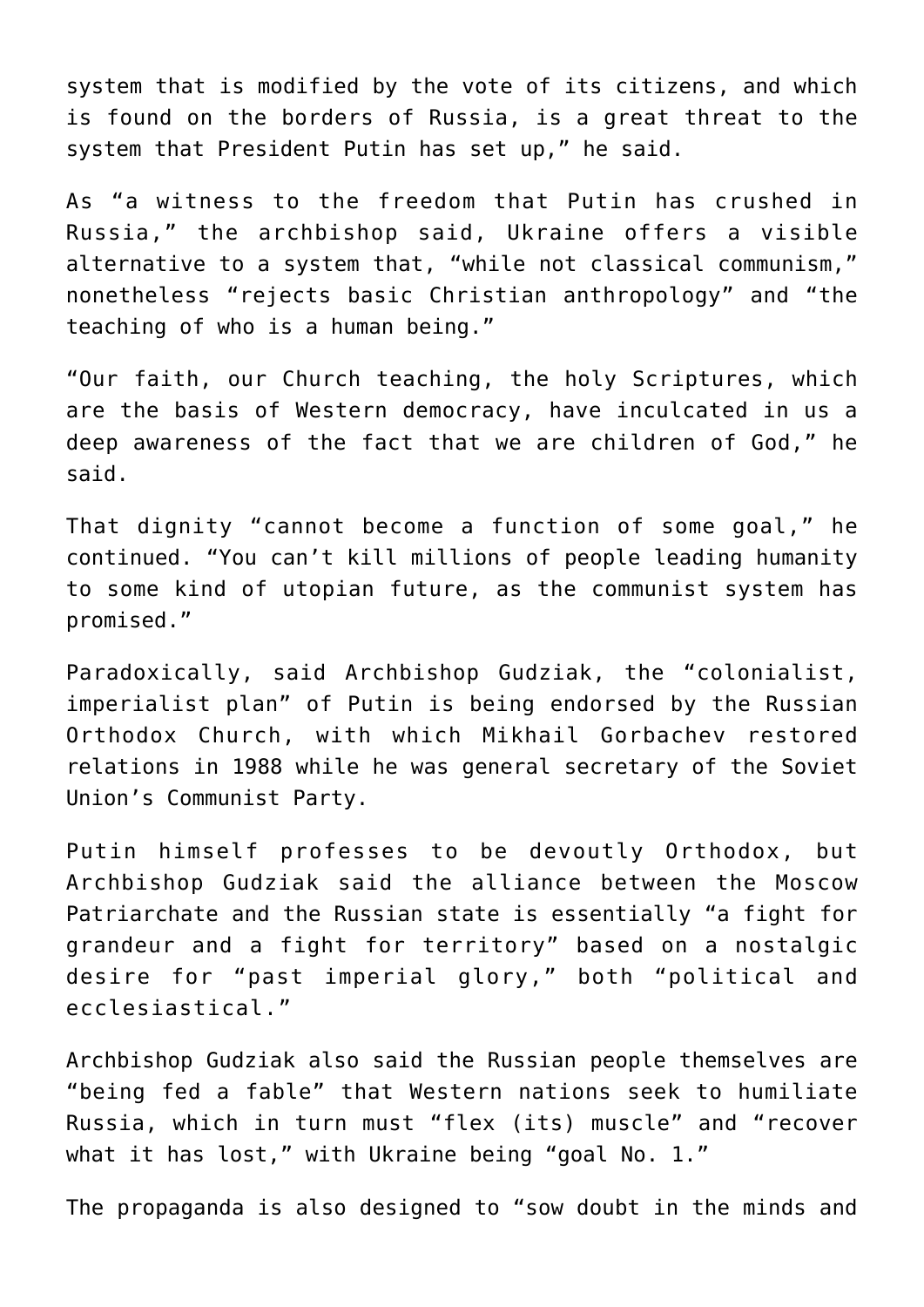system that is modified by the vote of its citizens, and which is found on the borders of Russia, is a great threat to the system that President Putin has set up," he said.

As "a witness to the freedom that Putin has crushed in Russia," the archbishop said, Ukraine offers a visible alternative to a system that, "while not classical communism," nonetheless "rejects basic Christian anthropology" and "the teaching of who is a human being."

"Our faith, our Church teaching, the holy Scriptures, which are the basis of Western democracy, have inculcated in us a deep awareness of the fact that we are children of God," he said.

That dignity "cannot become a function of some goal," he continued. "You can't kill millions of people leading humanity to some kind of utopian future, as the communist system has promised."

Paradoxically, said Archbishop Gudziak, the "colonialist, imperialist plan" of Putin is being endorsed by the Russian Orthodox Church, with which Mikhail Gorbachev restored relations in 1988 while he was general secretary of the Soviet Union's Communist Party.

Putin himself professes to be devoutly Orthodox, but Archbishop Gudziak said the alliance between the Moscow Patriarchate and the Russian state is essentially "a fight for grandeur and a fight for territory" based on a nostalgic desire for "past imperial glory," both "political and ecclesiastical."

Archbishop Gudziak also said the Russian people themselves are "being fed a fable" that Western nations seek to humiliate Russia, which in turn must "flex (its) muscle" and "recover what it has lost," with Ukraine being "goal No. 1."

The propaganda is also designed to "sow doubt in the minds and